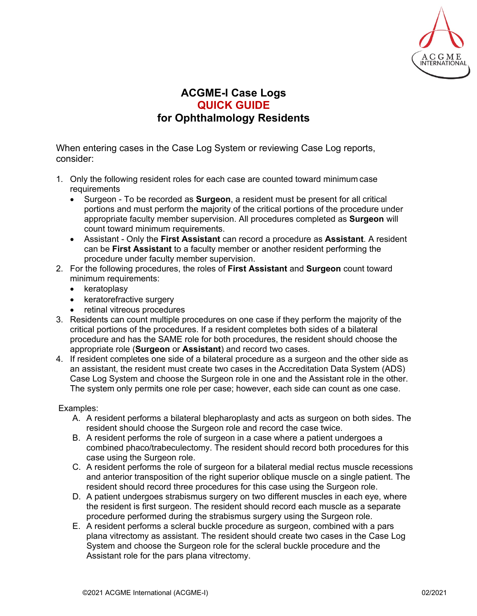

## **ACGME-I Case Logs QUICK GUIDE for Ophthalmology Residents**

When entering cases in the Case Log System or reviewing Case Log reports, consider:

- 1. Only the following resident roles for each case are counted toward minimum case requirements
	- Surgeon To be recorded as **Surgeon**, a resident must be present for all critical portions and must perform the majority of the critical portions of the procedure under appropriate faculty member supervision. All procedures completed as **Surgeon** will count toward minimum requirements.
	- Assistant Only the **First Assistant** can record a procedure as **Assistant**. A resident can be **First Assistant** to a faculty member or another resident performing the procedure under faculty member supervision.
- 2. For the following procedures, the roles of **First Assistant** and **Surgeon** count toward minimum requirements:
	- keratoplasy
	- keratorefractive surgery
	- retinal vitreous procedures
- 3. Residents can count multiple procedures on one case if they perform the majority of the critical portions of the procedures. If a resident completes both sides of a bilateral procedure and has the SAME role for both procedures, the resident should choose the appropriate role (**Surgeon** or **Assistant**) and record two cases.
- 4. If resident completes one side of a bilateral procedure as a surgeon and the other side as an assistant, the resident must create two cases in the Accreditation Data System (ADS) Case Log System and choose the Surgeon role in one and the Assistant role in the other. The system only permits one role per case; however, each side can count as one case.

## Examples:

- A. A resident performs a bilateral blepharoplasty and acts as surgeon on both sides. The resident should choose the Surgeon role and record the case twice.
- B. A resident performs the role of surgeon in a case where a patient undergoes a combined phaco/trabeculectomy. The resident should record both procedures for this case using the Surgeon role.
- C. A resident performs the role of surgeon for a bilateral medial rectus muscle recessions and anterior transposition of the right superior oblique muscle on a single patient. The resident should record three procedures for this case using the Surgeon role.
- D. A patient undergoes strabismus surgery on two different muscles in each eye, where the resident is first surgeon. The resident should record each muscle as a separate procedure performed during the strabismus surgery using the Surgeon role.
- E. A resident performs a scleral buckle procedure as surgeon, combined with a pars plana vitrectomy as assistant. The resident should create two cases in the Case Log System and choose the Surgeon role for the scleral buckle procedure and the Assistant role for the pars plana vitrectomy.